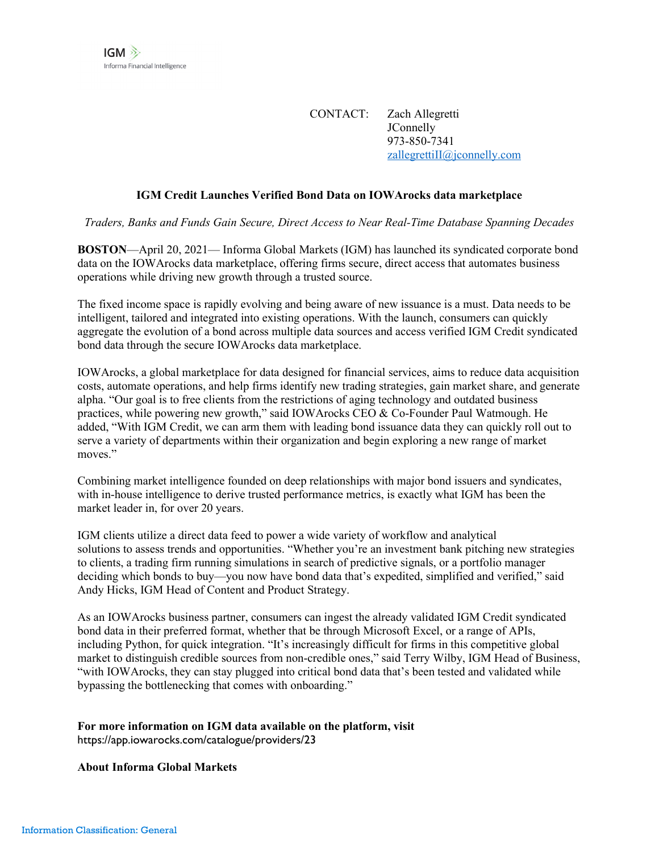CONTACT: Zach Allegretti JConnelly 973-850-7341 [zallegrettiII@jconnelly.com](mailto:zallegrettiII@jconnelly.com)

## **IGM Credit Launches Verified Bond Data on IOWArocks data marketplace**

*Traders, Banks and Funds Gain Secure, Direct Access to Near Real-Time Database Spanning Decades*

**BOSTON**—April 20, 2021— Informa Global Markets (IGM) has launched its syndicated corporate bond data on the IOWArocks data marketplace, offering firms secure, direct access that automates business operations while driving new growth through a trusted source.

The fixed income space is rapidly evolving and being aware of new issuance is a must. Data needs to be intelligent, tailored and integrated into existing operations. With the launch, consumers can quickly aggregate the evolution of a bond across multiple data sources and access verified IGM Credit syndicated bond data through the secure IOWArocks data marketplace.

IOWArocks, a global marketplace for data designed for financial services, aims to reduce data acquisition costs, automate operations, and help firms identify new trading strategies, gain market share, and generate alpha. "Our goal is to free clients from the restrictions of aging technology and outdated business practices, while powering new growth," said IOWArocks CEO & Co-Founder Paul Watmough. He added, "With IGM Credit, we can arm them with leading bond issuance data they can quickly roll out to serve a variety of departments within their organization and begin exploring a new range of market moves."

Combining market intelligence founded on deep relationships with major bond issuers and syndicates, with in-house intelligence to derive trusted performance metrics, is exactly what IGM has been the market leader in, for over 20 years.

IGM clients utilize a direct data feed to power a wide variety of workflow and analytical solutions to assess trends and opportunities. "Whether you're an investment bank pitching new strategies to clients, a trading firm running simulations in search of predictive signals, or a portfolio manager deciding which bonds to buy—you now have bond data that's expedited, simplified and verified," said Andy Hicks, IGM Head of Content and Product Strategy.

As an IOWArocks business partner, consumers can ingest the already validated IGM Credit syndicated bond data in their preferred format, whether that be through Microsoft Excel, or a range of APIs, including Python, for quick integration. "It's increasingly difficult for firms in this competitive global market to distinguish credible sources from non-credible ones," said Terry Wilby, IGM Head of Business, "with IOWArocks, they can stay plugged into critical bond data that's been tested and validated while bypassing the bottlenecking that comes with onboarding."

**For more information on IGM data available on the platform, visit**  https://app.iowarocks.com/catalogue/providers/23

**About Informa Global Markets**